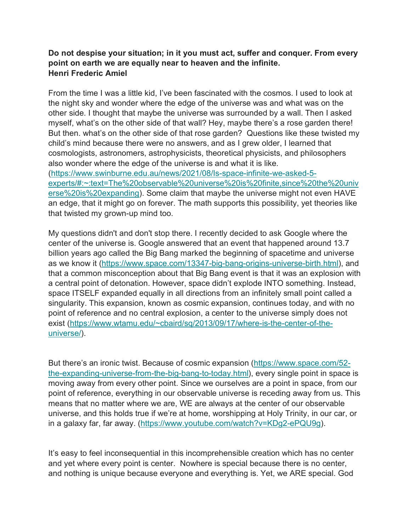## **Do not despise your situation; in it you must act, suffer and conquer. From every point on earth we are equally near to heaven and the infinite. Henri Frederic Amiel**

From the time I was a little kid, I've been fascinated with the cosmos. I used to look at the night sky and wonder where the edge of the universe was and what was on the other side. I thought that maybe the universe was surrounded by a wall. Then I asked myself, what's on the other side of that wall? Hey, maybe there's a rose garden there! But then. what's on the other side of that rose garden? Questions like these twisted my child's mind because there were no answers, and as I grew older, I learned that cosmologists, astronomers, astrophysicists, theoretical physicists, and philosophers also wonder where the edge of the universe is and what it is like. [\(https://www.swinburne.edu.au/news/2021/08/Is-space-infinite-we-asked-5](https://holytrinity-nj.us4.list-manage.com/track/click?u=b2bace484a1cfb7dd0ca2ab00&id=f45a9503c8&e=4fcb133b1c) [experts/#:~:text=The%20observable%20universe%20is%20finite,since%20the%20univ](https://holytrinity-nj.us4.list-manage.com/track/click?u=b2bace484a1cfb7dd0ca2ab00&id=f45a9503c8&e=4fcb133b1c) [erse%20is%20expanding\)](https://holytrinity-nj.us4.list-manage.com/track/click?u=b2bace484a1cfb7dd0ca2ab00&id=f45a9503c8&e=4fcb133b1c). Some claim that maybe the universe might not even HAVE an edge, that it might go on forever. The math supports this possibility, yet theories like that twisted my grown-up mind too.

My questions didn't and don't stop there. I recently decided to ask Google where the center of the universe is. Google answered that an event that happened around 13.7 billion years ago called the Big Bang marked the beginning of spacetime and universe as we know it [\(https://www.space.com/13347-big-bang-origins-universe-birth.html\)](https://holytrinity-nj.us4.list-manage.com/track/click?u=b2bace484a1cfb7dd0ca2ab00&id=543e770dbe&e=4fcb133b1c), and that a common misconception about that Big Bang event is that it was an explosion with a central point of detonation. However, space didn't explode INTO something. Instead, space ITSELF expanded equally in all directions from an infinitely small point called a singularity. This expansion, known as cosmic expansion, continues today, and with no point of reference and no central explosion, a center to the universe simply does not exist [\(https://www.wtamu.edu/~cbaird/sq/2013/09/17/where-is-the-center-of-the](https://holytrinity-nj.us4.list-manage.com/track/click?u=b2bace484a1cfb7dd0ca2ab00&id=b84724f63b&e=4fcb133b1c)[universe/\)](https://holytrinity-nj.us4.list-manage.com/track/click?u=b2bace484a1cfb7dd0ca2ab00&id=b84724f63b&e=4fcb133b1c).

But there's an ironic twist. Because of cosmic expansion [\(https://www.space.com/52](https://holytrinity-nj.us4.list-manage.com/track/click?u=b2bace484a1cfb7dd0ca2ab00&id=4f87519b52&e=4fcb133b1c) [the-expanding-universe-from-the-big-bang-to-today.html\)](https://holytrinity-nj.us4.list-manage.com/track/click?u=b2bace484a1cfb7dd0ca2ab00&id=4f87519b52&e=4fcb133b1c), every single point in space is moving away from every other point. Since we ourselves are a point in space, from our point of reference, everything in our observable universe is receding away from us. This means that no matter where we are, WE are always at the center of our observable universe, and this holds true if we're at home, worshipping at Holy Trinity, in our car, or in a galaxy far, far away. [\(https://www.youtube.com/watch?v=KDg2-ePQU9g\)](https://holytrinity-nj.us4.list-manage.com/track/click?u=b2bace484a1cfb7dd0ca2ab00&id=34c17eb36d&e=4fcb133b1c).

It's easy to feel inconsequential in this incomprehensible creation which has no center and yet where every point is center. Nowhere is special because there is no center, and nothing is unique because everyone and everything is. Yet, we ARE special. God